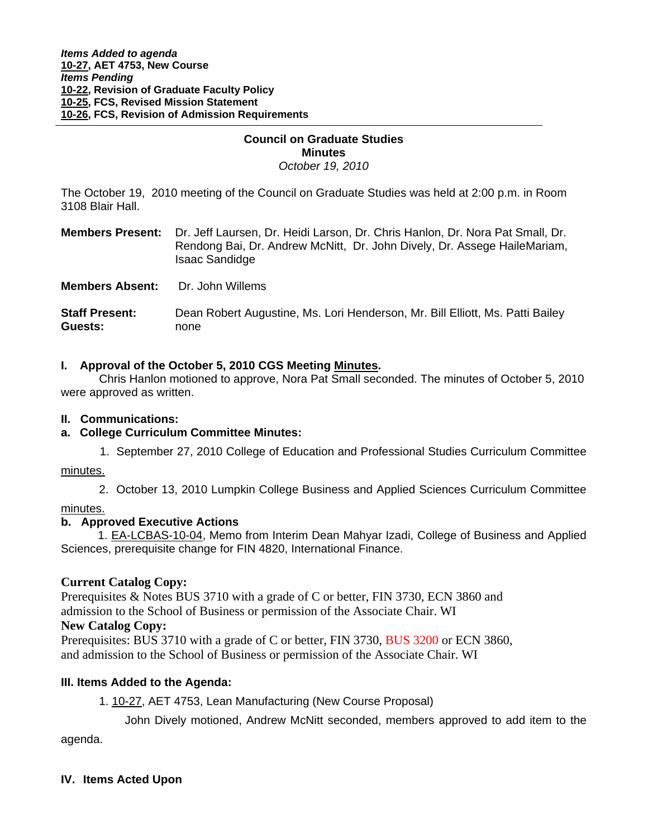# **Council on Graduate Studies Minutes**

*October 19, 2010* 

The October 19, 2010 meeting of the Council on Graduate Studies was held at 2:00 p.m. in Room 3108 Blair Hall.

**Members Present:** Dr. Jeff Laursen, Dr. Heidi Larson, Dr. Chris Hanlon, Dr. Nora Pat Small, Dr. Rendong Bai, Dr. Andrew McNitt, Dr. John Dively, Dr. Assege HaileMariam, Isaac Sandidge

**Members Absent:** Dr. John Willems

**Staff Present:** Dean Robert Augustine, Ms. Lori Henderson, Mr. Bill Elliott, Ms. Patti Bailey **Guests:** none

## **I. Approval of the October 5, 2010 CGS Meetin[g Minutes.](http://castle.eiu.edu/~eiucgs/currentminutes/Minutes10-5-10.pdf)**

 Chris Hanlon motioned to approve, Nora Pat Small seconded. The minutes of October 5, 2010 were approved as written.

#### **II. Communications:**

#### **a. College Curriculum Committee Minutes:**

1. September 27, 2010 College of Education and Professional Studies Curriculum Committee

[minutes.](http://castle.eiu.edu/~eiucgs/currentagendaitems/CEPSMin9-27-10.pdf)

2. October 13, 2010 Lumpkin College Business and Applied Sciences Curriculum Committee

#### [minutes.](http://castle.eiu.edu/~eiucgs/currentagendaitems/CEPSMin9-27-10.pdf)

## **b. Approved Executive Actions**

[1. EA-LCBAS-10-04, M](http://castle.eiu.edu/~eiucgs/exec-actions/EA-LCBAS-10-04.pdf)emo from Interim Dean Mahyar Izadi, College of Business and Applied Sciences, prerequisite change for FIN 4820, International Finance.

## **Current Catalog Copy:**

Prerequisites & Notes BUS 3710 with a grade of C or better, FIN 3730, ECN 3860 and admission to the School of Business or permission of the Associate Chair. WI

## **New Catalog Copy:**

Prerequisites: BUS 3710 with a grade of C or better, FIN 3730, BUS 3200 or ECN 3860, and admission to the School of Business or permission of the Associate Chair. WI

## **III. Items Added to the Agenda:**

[1. 10-27, AE](http://www.eiu.edu/~eiucgs/currentagendaitems/agenda10-27.pdf)T 4753, Lean Manufacturing (New Course Proposal)

John Dively motioned, Andrew McNitt seconded, members approved to add item to the

agenda.

#### **IV. Items Acted Upon**